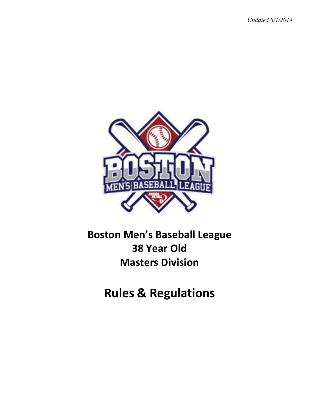*Updated 8/1/2014*



# **Boston Men's Baseball League 38 Year Old Masters Division**

**Rules & Regulations**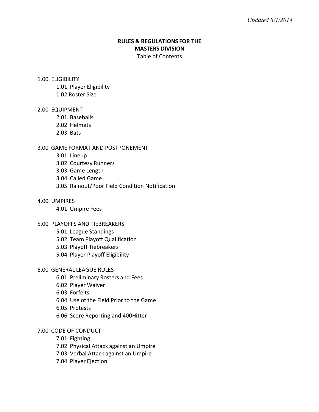# **RULES & REGULATIONS FOR THE MASTERS DIVISION** Table of Contents

#### 1.00 ELIGIBILITY

- 1.01 Player Eligibility
- 1.02 Roster Size

## 2.00 EQUIPMENT

- 2.01 Baseballs
- 2.02 Helmets
- 2.03 Bats

## 3.00 GAME FORMAT AND POSTPONEMENT

- 3.01 Lineup
- 3.02 Courtesy Runners
- 3.03 Game Length
- 3.04 Called Game
- 3.05 Rainout/Poor Field Condition Notification

## 4.00 UMPIRES

4.01 Umpire Fees

## 5.00 PLAYOFFS AND TIEBREAKERS

- 5.01 League Standings
- 5.02 Team Playoff Qualification
- 5.03 Playoff Tiebreakers
- 5.04 Player Playoff Eligibility

## 6.00 GENERAL LEAGUE RULES

- 6.01 Preliminary Rosters and Fees
- 6.02 Player Waiver
- 6.03 Forfeits
- 6.04 Use of the Field Prior to the Game
- 6.05 Protests
- 6.06 Score Reporting and 400Hitter

## 7.00 CODE OF CONDUCT

- 7.01 Fighting
- 7.02 Physical Attack against an Umpire
- 7.03 Verbal Attack against an Umpire
- 7.04 Player Ejection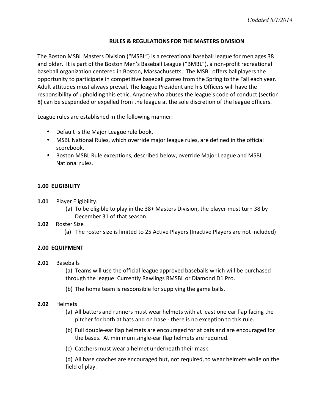## **RULES & REGULATIONS FOR THE MASTERS DIVISION**

The Boston MSBL Masters Division ("MSBL") is a recreational baseball league for men ages 38 and older. It is part of the Boston Men's Baseball League ("BMBL"), a non-profit recreational baseball organization centered in Boston, Massachusetts. The MSBL offers ballplayers the opportunity to participate in competitive baseball games from the Spring to the Fall each year. Adult attitudes must always prevail. The league President and his Officers will have the responsibility of upholding this ethic. Anyone who abuses the league's code of conduct (section 8) can be suspended or expelled from the league at the sole discretion of the league officers.

League rules are established in the following manner:

- Default is the Major League rule book.
- MSBL National Rules, which override major league rules, are defined in the official scorebook.
- Boston MSBL Rule exceptions, described below, override Major League and MSBL National rules.

## **1.00 ELIGIBILITY**

- **1.01** Player Eligibility.
	- (a) To be eligible to play in the  $38+$  Masters Division, the player must turn  $38$  by December 31 of that season.
- 1.02 Roster Size
	- (a) The roster size is limited to 25 Active Players (Inactive Players are not included)

## **2.00 EQUIPMENT**

**2.01** Baseballs

(a) Teams will use the official league approved baseballs which will be purchased through the league: Currently Rawlings RMSBL or Diamond D1 Pro.

- (b) The home team is responsible for supplying the game balls.
- **2.02** Helmets
	- (a) All batters and runners must wear helmets with at least one ear flap facing the pitcher for both at bats and on base - there is no exception to this rule.
	- (b) Full double-ear flap helmets are encouraged for at bats and are encouraged for the bases. At minimum single-ear flap helmets are required.
	- (c) Catchers must wear a helmet underneath their mask.

(d) All base coaches are encouraged but, not required, to wear helmets while on the field of play.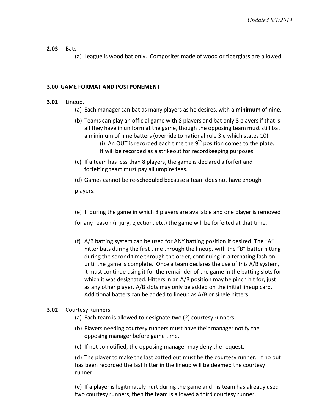## **2.03** Bats

(a) League is wood bat only. Composites made of wood or fiberglass are allowed

#### **3.00 GAME FORMAT AND POSTPONEMENT**

## **3.01** Lineup.

- (a) Each manager can bat as many players as he desires, with a **minimum of nine**.
- (b) Teams can play an official game with 8 players and bat only 8 players if that is all they have in uniform at the game, though the opposing team must still bat a minimum of nine batters (override to national rule 3.e which states 10). (i) An OUT is recorded each time the  $9<sup>th</sup>$  position comes to the plate.
	- It will be recorded as a strikeout for recordkeeping purposes.
- (c) If a team has less than 8 players, the game is declared a forfeit and forfeiting team must pay all umpire fees.

(d) Games cannot be re-scheduled because a team does not have enough players. 

(e) If during the game in which 8 players are available and one player is removed

for any reason (injury, ejection, etc.) the game will be forfeited at that time.

(f)  $A/B$  batting system can be used for ANY batting position if desired. The "A" hitter bats during the first time through the lineup, with the "B" batter hitting during the second time through the order, continuing in alternating fashion until the game is complete. Once a team declares the use of this A/B system, it must continue using it for the remainder of the game in the batting slots for which it was designated. Hitters in an A/B position may be pinch hit for, just as any other player. A/B slots may only be added on the initial lineup card. Additional batters can be added to lineup as A/B or single hitters.

## **3.02** Courtesy Runners.

- (a) Each team is allowed to designate two (2) courtesy runners.
- (b) Players needing courtesy runners must have their manager notify the opposing manager before game time.
- (c) If not so notified, the opposing manager may deny the request.

(d) The player to make the last batted out must be the courtesy runner. If no out has been recorded the last hitter in the lineup will be deemed the courtesy runner.

(e) If a player is legitimately hurt during the game and his team has already used two courtesy runners, then the team is allowed a third courtesy runner.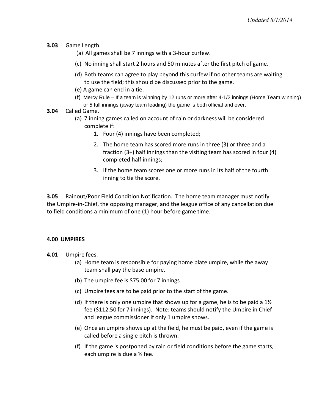- **3.03** Game Length.
	- (a) All games shall be  $7$  innings with a 3-hour curfew.
	- (c) No inning shall start 2 hours and 50 minutes after the first pitch of game.
	- (d) Both teams can agree to play beyond this curfew if no other teams are waiting to use the field; this should be discussed prior to the game.
	- (e) A game can end in a tie.
	- (f) Mercy Rule If a team is winning by 12 runs or more after 4-1/2 innings (Home Team winning) or 5 full innings (away team leading) the game is both official and over.
- **3.04** Called Game.
	- (a) 7 inning games called on account of rain or darkness will be considered complete if:
		- 1. Four (4) innings have been completed;
		- 2. The home team has scored more runs in three (3) or three and a fraction  $(3+)$  half innings than the visiting team has scored in four  $(4)$ completed half innings;
		- 3. If the home team scores one or more runs in its half of the fourth inning to tie the score.

**3.05** Rainout/Poor Field Condition Notification. The home team manager must notify the Umpire-in-Chief, the opposing manager, and the league office of any cancellation due to field conditions a minimum of one (1) hour before game time.

# **4.00 UMPIRES**

- **4.01** Umpire fees.
	- (a) Home team is responsible for paying home plate umpire, while the away team shall pay the base umpire.
	- (b) The umpire fee is \$75.00 for 7 innings
	- (c) Umpire fees are to be paid prior to the start of the game.
	- (d) If there is only one umpire that shows up for a game, he is to be paid a  $1\frac{1}{2}$ fee (\$112.50 for 7 innings). Note: teams should notify the Umpire in Chief and league commissioner if only 1 umpire shows.
	- (e) Once an umpire shows up at the field, he must be paid, even if the game is called before a single pitch is thrown.
	- (f) If the game is postponed by rain or field conditions before the game starts, each umpire is due a  $\frac{1}{2}$  fee.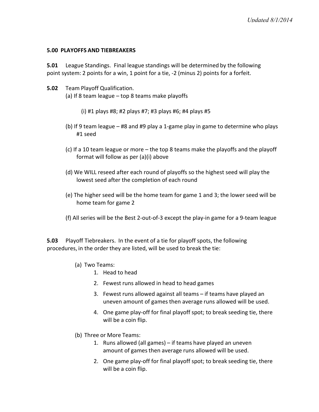#### **5.00 PLAYOFFS AND TIEBREAKERS**

**5.01** League Standings. Final league standings will be determined by the following point system: 2 points for a win, 1 point for a tie, -2 (minus 2) points for a forfeit.

- **5.02** Team Playoff Qualification. (a) If 8 team league  $-$  top 8 teams make playoffs
	- (i)  $\#1$  plays  $\#8$ ;  $\#2$  plays  $\#7$ ;  $\#3$  plays  $\#6$ ;  $\#4$  plays  $\#5$
	- (b) If 9 team league #8 and #9 play a 1-game play in game to determine who plays #1 seed
	- (c) If a 10 team league or more the top 8 teams make the playoffs and the playoff format will follow as per  $(a)(i)$  above
	- (d) We WILL reseed after each round of playoffs so the highest seed will play the lowest seed after the completion of each round
	- (e) The higher seed will be the home team for game 1 and 3; the lower seed will be home team for game 2
	- (f) All series will be the Best 2-out-of-3 except the play-in game for a 9-team league

**5.03** Playoff Tiebreakers. In the event of a tie for playoff spots, the following procedures, in the order they are listed, will be used to break the tie:

- (a) Two Teams:
	- 1. Head to head
	- 2. Fewest runs allowed in head to head games
	- 3. Fewest runs allowed against all teams if teams have played an uneven amount of games then average runs allowed will be used.
	- 4. One game play-off for final playoff spot; to break seeding tie, there will be a coin flip.
- (b) Three or More Teams:
	- 1. Runs allowed (all games) if teams have played an uneven amount of games then average runs allowed will be used.
	- 2. One game play-off for final playoff spot; to break seeding tie, there will be a coin flip.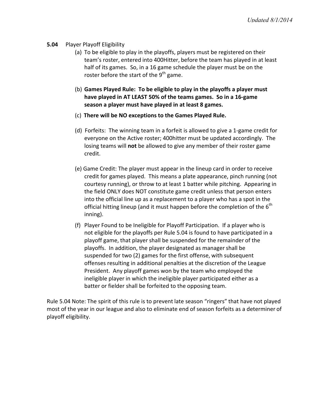#### **5.04** Player Playoff Eligibility

- (a) To be eligible to play in the playoffs, players must be registered on their team's roster, entered into 400Hitter, before the team has played in at least half of its games. So, in a 16 game schedule the player must be on the roster before the start of the  $9<sup>th</sup>$  game.
- (b) Games Played Rule: To be eligible to play in the playoffs a player must have played in AT LEAST 50% of the teams games. So in a 16-game season a player must have played in at least 8 games.
- (c) **There will be NO exceptions to the Games Played Rule.**
- (d) Forfeits: The winning team in a forfeit is allowed to give a 1-game credit for everyone on the Active roster; 400hitter must be updated accordingly. The losing teams will **not** be allowed to give any member of their roster game credit.
- (e) Game Credit: The player must appear in the lineup card in order to receive credit for games played. This means a plate appearance, pinch running (not courtesy running), or throw to at least 1 batter while pitching. Appearing in the field ONLY does NOT constitute game credit unless that person enters into the official line up as a replacement to a player who has a spot in the official hitting lineup (and it must happen before the completion of the  $6<sup>th</sup>$ inning).
- (f) Player Found to be Ineligible for Playoff Participation. If a player who is not eligible for the playoffs per Rule 5.04 is found to have participated in a playoff game, that player shall be suspended for the remainder of the playoffs. In addition, the player designated as manager shall be suspended for two (2) games for the first offense, with subsequent offenses resulting in additional penalties at the discretion of the League President. Any playoff games won by the team who employed the ineligible player in which the ineligible player participated either as a batter or fielder shall be forfeited to the opposing team.

Rule 5.04 Note: The spirit of this rule is to prevent late season "ringers" that have not played most of the year in our league and also to eliminate end of season forfeits as a determiner of playoff eligibility.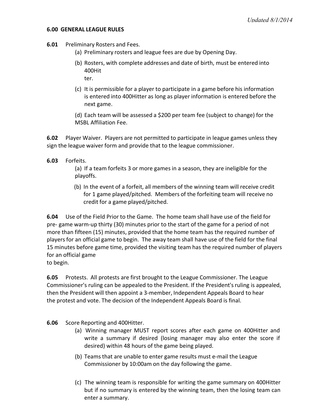#### **6.00 GENERAL LEAGUE RULES**

- **6.01** Preliminary Rosters and Fees.
	- (a) Preliminary rosters and league fees are due by Opening Day.
	- (b) Rosters, with complete addresses and date of birth, must be entered into 400Hit ter.
	- $(c)$  It is permissible for a player to participate in a game before his information is entered into 400Hitter as long as player information is entered before the next game.

(d) Each team will be assessed a \$200 per team fee (subject to change) for the MSBL Affiliation Fee.

**6.02** Player Waiver. Players are not permitted to participate in league games unless they sign the league waiver form and provide that to the league commissioner.

## **6.03** Forfeits.

(a) If a team forfeits 3 or more games in a season, they are ineligible for the playoffs.

(b) In the event of a forfeit, all members of the winning team will receive credit for 1 game played/pitched. Members of the forfeiting team will receive no credit for a game played/pitched.

**6.04** Use of the Field Prior to the Game. The home team shall have use of the field for pre- game warm-up thirty (30) minutes prior to the start of the game for a period of not more than fifteen (15) minutes, provided that the home team has the required number of players for an official game to begin. The away team shall have use of the field for the final 15 minutes before game time, provided the visiting team has the required number of players for an official game

to begin.

**6.05** Protests. All protests are first brought to the League Commissioner. The League Commissioner's ruling can be appealed to the President. If the President's ruling is appealed, then the President will then appoint a 3-member, Independent Appeals Board to hear the protest and vote. The decision of the Independent Appeals Board is final.

**6.06** Score Reporting and 400Hitter.

- (a) Winning manager MUST report scores after each game on 400Hitter and write a summary if desired (losing manager may also enter the score if desired) within 48 hours of the game being played.
- (b) Teams that are unable to enter game results must e-mail the League Commissioner by 10:00am on the day following the game.
- (c) The winning team is responsible for writing the game summary on 400Hitter but if no summary is entered by the winning team, then the losing team can enter a summary.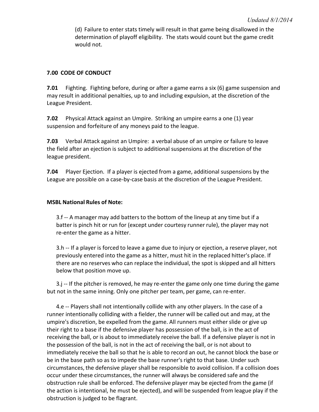(d) Failure to enter stats timely will result in that game being disallowed in the determination of playoff eligibility. The stats would count but the game credit would not.

# **7.00 CODE OF CONDUCT**

**7.01** Fighting. Fighting before, during or after a game earns a six (6) game suspension and may result in additional penalties, up to and including expulsion, at the discretion of the League President.

**7.02** Physical Attack against an Umpire. Striking an umpire earns a one (1) year suspension and forfeiture of any moneys paid to the league.

**7.03** Verbal Attack against an Umpire: a verbal abuse of an umpire or failure to leave the field after an ejection is subject to additional suspensions at the discretion of the league president.

**7.04** Player Ejection. If a player is ejected from a game, additional suspensions by the League are possible on a case-by-case basis at the discretion of the League President.

## **MSBL National Rules of Note:**

3.f -- A manager may add batters to the bottom of the lineup at any time but if a batter is pinch hit or run for (except under courtesy runner rule), the player may not re-enter the game as a hitter.

3.h -- If a player is forced to leave a game due to injury or ejection, a reserve player, not previously entered into the game as a hitter, must hit in the replaced hitter's place. If there are no reserves who can replace the individual, the spot is skipped and all hitters below that position move up.

 $3.$ j -- If the pitcher is removed, he may re-enter the game only one time during the game but not in the same inning. Only one pitcher per team, per game, can re-enter.

4.e -- Players shall not intentionally collide with any other players. In the case of a runner intentionally colliding with a fielder, the runner will be called out and may, at the umpire's discretion, be expelled from the game. All runners must either slide or give up their right to a base if the defensive player has possession of the ball, is in the act of receiving the ball, or is about to immediately receive the ball. If a defensive player is not in the possession of the ball, is not in the act of receiving the ball, or is not about to immediately receive the ball so that he is able to record an out, he cannot block the base or be in the base path so as to impede the base runner's right to that base. Under such circumstances, the defensive player shall be responsible to avoid collision. If a collision does occur under these circumstances, the runner will always be considered safe and the obstruction rule shall be enforced. The defensive player may be ejected from the game (if the action is intentional, he must be ejected), and will be suspended from league play if the obstruction is judged to be flagrant.